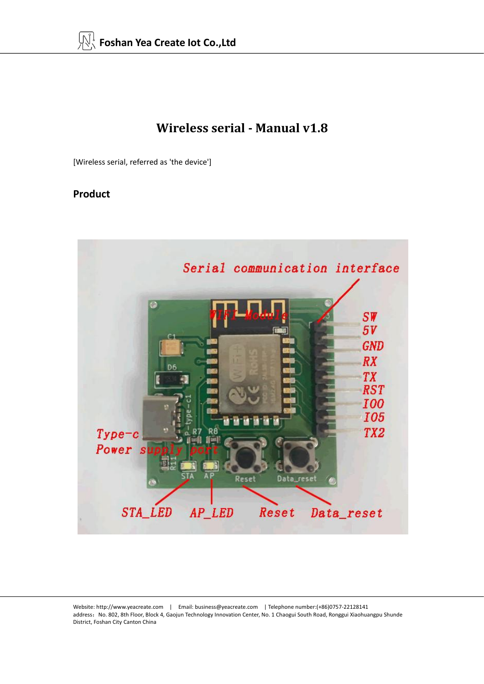## **Wireless serial- Manual v1.8**

[Wireless serial, referred as 'the device']

### **Product**

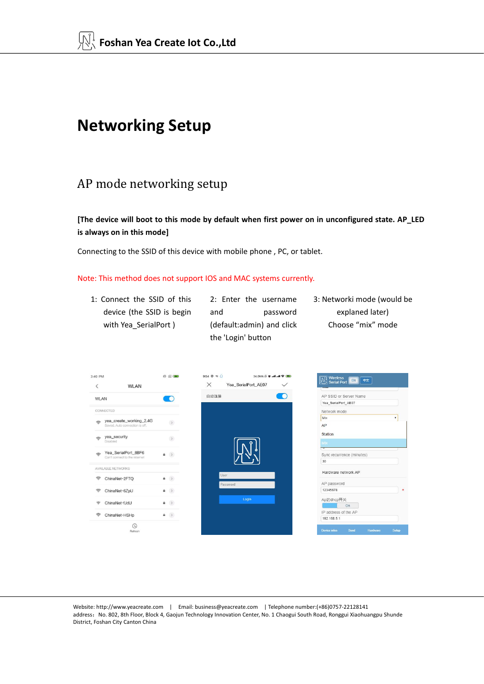# **Networking Setup**

### AP mode networking setup

**[The device will boot to this mode by default when first power on in unconfigured state. AP\_LED is always on in this mode]**

Connecting to the SSID of this device with mobile phone , PC, or tablet.

#### Note: This method does not support IOS and MAC systems currently.

1: Connect the SSID of this device (the SSID is begin and password with Yea SerialPort )

2: Enter the username (default:admin) and click the 'Login' button

and password explaned later) 3: Networki mode (would be Choose "mix" mode

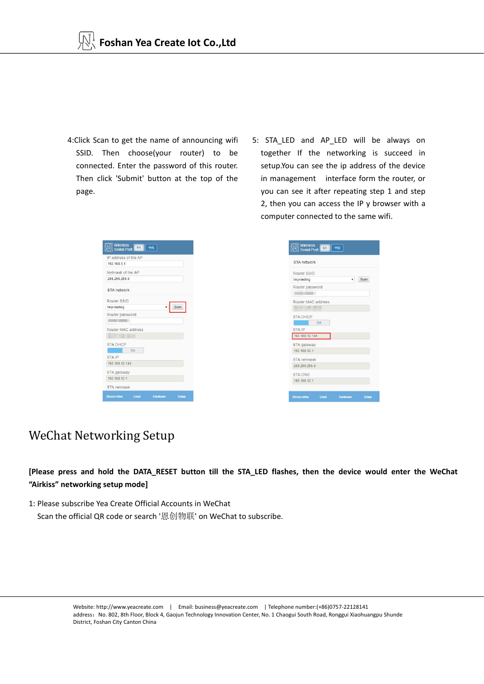- 4:Click Scan to get the name of announcing wifi SSID. Then choose(your router) to be connected. Enter the password of this router. Then click 'Submit' button at the top of the page.
- 5: STA LED and AP LED will be always on together If the networking is succeed in setup.You can see the ip address of the device in management interface form the router, or you can see it after repeating step 1 and step 2, then you can access the IP y browser with a computer connected to the same wifi.

| IP address of the AP |          |       |
|----------------------|----------|-------|
| 192 168 5 1          |          |       |
| Netmask of the AP    |          |       |
| 255 255 255 0        |          |       |
| STA network          |          |       |
| Router SSID          |          |       |
| tmp-testing          |          | Scan  |
| Router password      |          |       |
|                      |          |       |
| Router MAC address   |          |       |
|                      |          |       |
| <b>STA DHCP</b>      |          |       |
| a sa<br>On           |          |       |
| STA IP               |          |       |
| 192.168.12.144       |          |       |
| STA gateway          |          |       |
| 192 168 12 1         |          |       |
| STA netmask          |          |       |
| Send<br>Device infos | Hardware | Selup |



## WeChat Networking Setup

[Please press and hold the DATA\_RESET button till the STA\_LED flashes, then the device would enter the WeChat **"Airkiss" networking setup mode]**

1: Please subscribe Yea Create Official Accounts in WeChat

Scan the official QR code or search '恩创物联' on WeChat to subscribe.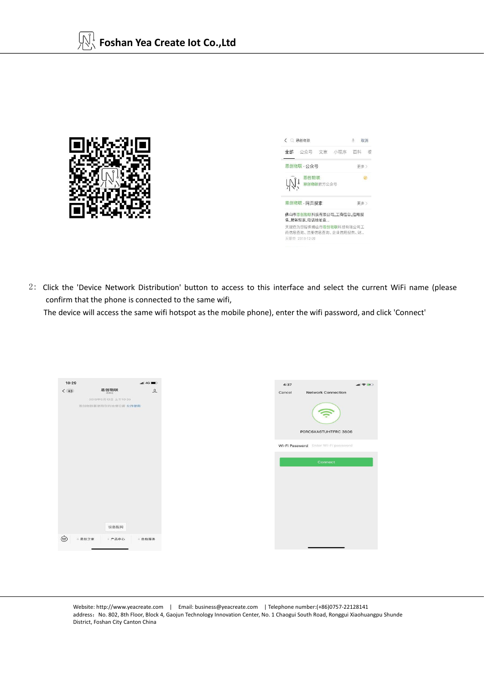

| く ○ 恩创物联                                                         | <b>U</b> 取消 |
|------------------------------------------------------------------|-------------|
| 全部 公众号 文章 小程序 百科 视                                               |             |
| 恩创物联 - 公众号                                                       | 更多>         |
| ○ ● <sup>恩卽物联</sup><br>○ ● 恩创物联官方公众号                             |             |
| 恩创物联 - 网页搜索                                                      | 事多)         |
| 佛山市恩创物联科技有限公司_工商信息_信用报<br>告 财务报表 电话地址查                           |             |
| 天眼香为您提供佛山市愚创物联科技有限公司工<br>商信息查询、注册信息查询、企业信用报告、财<br>天眼壶 2018-12-20 |             |

2: Click the 'Device Network Distribution' button to access to this interface and select the current WiFi name (please confirm that the phone is connected to the same wifi,

The device will access the same wifi hotspot as the mobile phone), enter the wifi password, and click 'Connect'

| 10:29        |                                          | nt4G                                                     |
|--------------|------------------------------------------|----------------------------------------------------------|
| $\langle$ 43 | 恩创物联                                     | $\mathcal{L}% _{A}=\mathcal{L}_{A}\times\mathcal{L}_{A}$ |
|              | 2019年6月13日 上午10:39<br>渗出物联要使用你的地理位置 允许使用 |                                                          |
|              |                                          |                                                          |
|              |                                          |                                                          |
|              |                                          |                                                          |
|              |                                          |                                                          |
|              |                                          |                                                          |
|              |                                          |                                                          |
|              | 设备配网                                     |                                                          |
| ⊕            | - 恩创之家<br>三产品中心                          | 三自助服务                                                    |
|              |                                          |                                                          |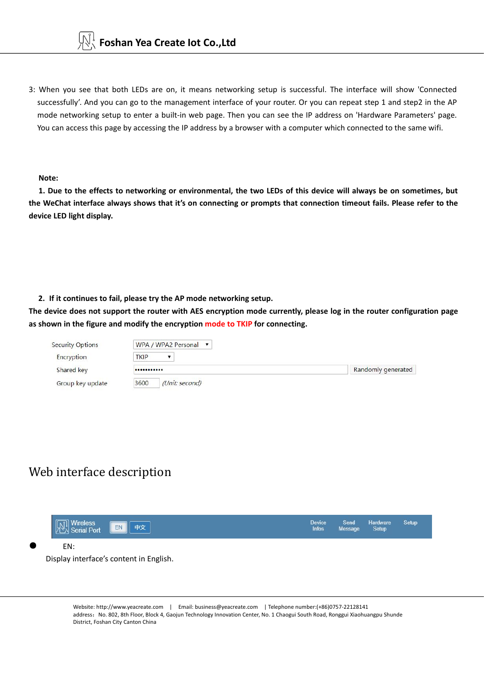

3: When you see that both LEDs are on, it means networking setup is successful. The interface will show 'Connected successfully'. And you can go to the management interface of your router. Or you can repeat step 1 and step2 in the AP mode networking setup to enter a built-in web page. Then you can see the IP address on 'Hardware Parameters' page. You can access this page by accessing the IP address by a browser with a computer which connected to the same wifi.

**Note:**

1. Due to the effects to networking or environmental, the two LEDs of this device will always be on sometimes, but the WeChat interface always shows that it's on connecting or prompts that connection timeout fails. Please refer to the **device LED light display.**

#### **2. If it continues to fail, please try the AP mode networking setup.**

The device does not support the router with AES encryption mode currently, please log in the router configuration page **as shown in the figure and modify the encryption mode to TKIP for connecting.**

| <b>Security Options</b> | WPA / WPA2 Personal ▼  |                    |
|-------------------------|------------------------|--------------------|
| Encryption              | <b>TKIP</b>            |                    |
| Shared key              |                        | Randomly generated |
| Group key update        | 3600<br>(Unit: second) |                    |

### Web interface description

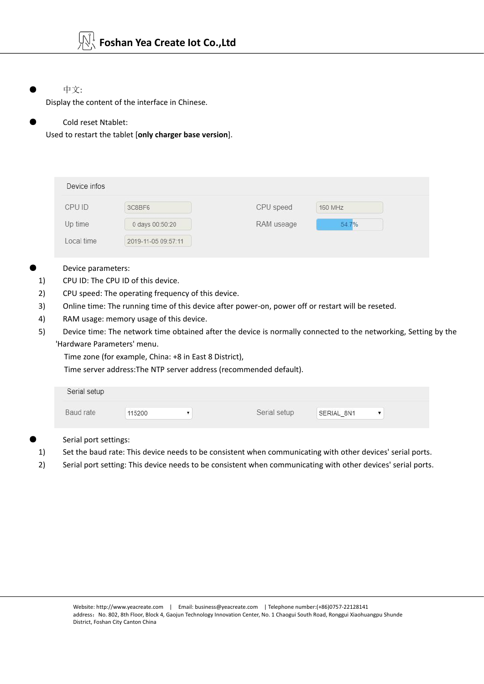中文:

Display the content of the interface in Chinese.

#### Cold reset Ntablet:

Used to restart the tablet [**only charger base version**].

| Device infos |                     |            |         |
|--------------|---------------------|------------|---------|
| CPU ID       | 3C8BF6              | CPU speed  | 160 MHZ |
| Up time      | 0 days 00:50:20     | RAM useage | 54.7%   |
| Local time   | 2019-11-05 09:57:11 |            |         |

- Device parameters:
- 1) CPU ID: The CPU ID of this device.
- 2) CPU speed: The operating frequency of this device.
- 3) Online time: The running time of this device after power-on, power off or restart will be reseted.
- 4) RAM usage: memory usage of this device.
- 5) Device time: The network time obtained after the device is normally connected to the networking, Setting by the 'Hardware Parameters' menu.

Time zone (for example, China: +8 in East 8 District),

Time server address:The NTP server address (recommended default).

| Baud rate<br>115200 | Serial setup | SERIAL 8N1 |  |  |  |
|---------------------|--------------|------------|--|--|--|

Serial port settings:

- 1) Set the baud rate: This device needs to be consistent when communicating with other devices' serial ports.
- 2) Serial port setting: This device needs to be consistent when communicating with other devices' serial ports.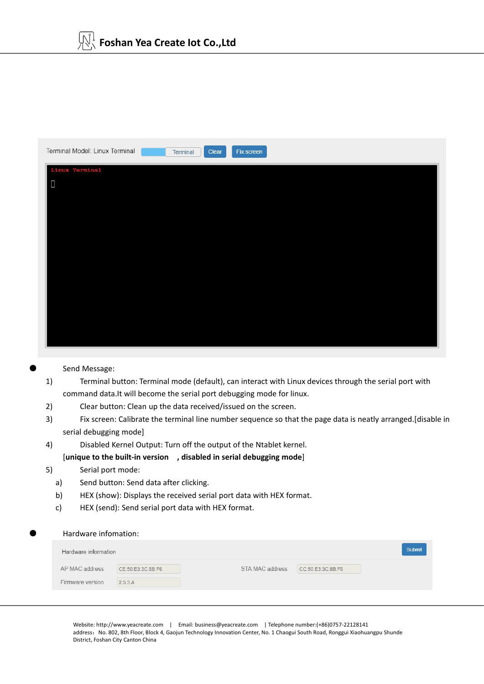

Send Message:

- 1) Terminal button: Terminal mode (default), can interact with Linux devices through the serial port with command data.It will become the serial port debugging mode for linux.
- 2) Clear button: Clean up the data received/issued on the screen.
- 3) Fix screen:Calibrate the terminal line number sequence so that the page data is neatly arranged.[disable in serial debugging mode]
- 4) Disabled Kernel Output: Turn off the output of the Ntablet kernel.

[**unique to the built-in version , disabled in serial debugging mode**]

- 5) Serial port mode:
	- a) Send button: Send data after clicking.
	- b) HEX (show): Displays the received serial port data with HEX format.<br>c) HEX (send): Send serial port data with HEX format.
	-

#### Hardware infomation:

| Hardware information |                   |                 |                   | Submit |
|----------------------|-------------------|-----------------|-------------------|--------|
| AP MAC address       | CE:50:E3:3C:8B:F6 | STA MAC address | CC:50:E3:3C:8B:F6 |        |
| Firmware version     | 2.3.3.A           |                 |                   |        |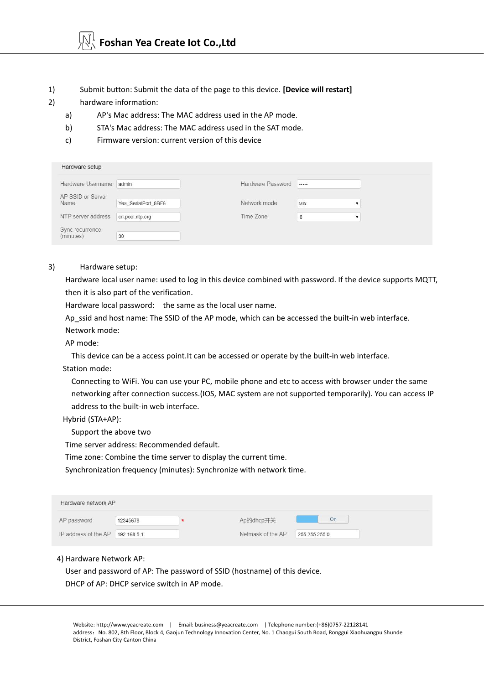- 1) Submit button: Submit the data of the page to this device. **[Device will restart]**
- 2) hardware information:
	- a) AP's Mac address: The MAC address used in the AP mode.
	- b) STA's Mac address: The MAC address used in the SAT mode.
	- c) Firmware version: current version of this device

| Hardware setup               |                     |                   |     |  |
|------------------------------|---------------------|-------------------|-----|--|
| Hardware Username            | admin               | Hardware Password |     |  |
| AP SSID or Server<br>Name    | Yea SerialPort 8BF6 | Network mode      | Mix |  |
| NTP server address           | cn.pool.ntp.org     | Time Zone         | 8   |  |
| Sync recurrence<br>(minutes) | 30                  |                   |     |  |

#### 3) Hardware setup:

Hardware local user name: used to log in this device combined with password. If the device supports MQTT, then it is also part of the verification.

Hardware local password: the same as the local user name.

Ap ssid and host name: The SSID of the AP mode, which can be accessed the built-in web interface.

Network mode:

AP mode:

This device can be a access point.It can be accessed or operate by the built-in web interface.

Station mode:

Connecting to WiFi. You can use your PC, mobile phone and etc to access with browser under the same networking after connection success.(IOS, MAC system are not supported temporarily). You can access IP address to the built-in web interface.

Hybrid (STA+AP):

Support the above two

Time server address: Recommended default.

Time zone: Combine the time server to display the current time.

Synchronization frequency (minutes): Synchronize with network time.

| Hardware network AP              |          |                   |               |
|----------------------------------|----------|-------------------|---------------|
| AP password                      | 12345678 | Ap的dhcp开关         | On.           |
| IP address of the AP 192.168.5.1 |          | Netmask of the AP | 255.255.255.0 |

#### 4) Hardware Network AP:

User and password of AP: The password of SSID (hostname) of this device. DHCP of AP: DHCP service switch in AP mode.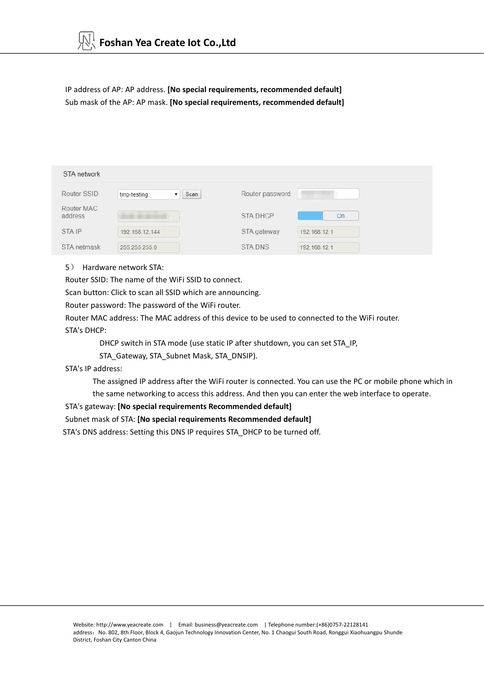IP address of AP: AP address. **[No special requirements, recommended default]** Sub mask of the AP: AP mask. **[No special requirements, recommended default]**

| STA network           |                     |                 |              |
|-----------------------|---------------------|-----------------|--------------|
| Router SSID           | Scan<br>tmp-testing | Router password |              |
| Router MAC<br>address |                     | <b>STA DHCP</b> | On           |
| STA IP                | 192.168.12.144      | STA gateway     | 192.168.12.1 |
| STA netmask           | 255.255.255.0       | <b>STADNS</b>   | 192.168.12.1 |

#### 5) Hardware network STA:

Router SSID: The name of the WiFi SSID to connect.

Scan button: Click to scan all SSID which are announcing.

Router password: The password of the WiFi router.

Router MAC address: The MAC address of this device to be used to connected to the WiFi router. STA's DHCP:

DHCP switch in STA mode (use static IP after shutdown, you can set STA\_IP,

STA\_Gateway, STA\_Subnet Mask, STA\_DNSIP).

STA's IP address:

The assigned IP address after the WiFi router is connected. You can use the PC or mobile phone which in the same networking to access this address. And then you can enter the web interface to operate.STA's gateway: **[No special requirements Recommended default]**

Subnet mask of STA: **[No special requirements Recommended default]**

STA's DNS address: Setting this DNS IP requires STA\_DHCP to be turned off.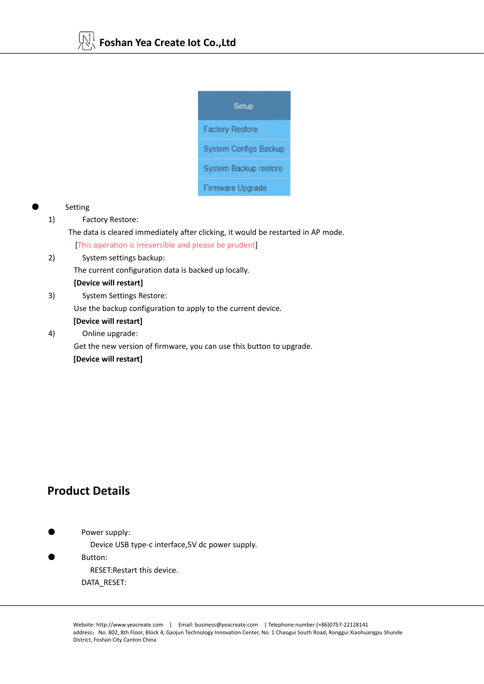

#### **Setting**

1) Factory Restore:

The data is cleared immediately after clicking, it would be restarted in AP mode.<br>[This operation is irreversible and please be prudent]

2) System settings backup:

The current configuration data is backed up locally.

#### **[Device will restart]**

3) System Settings Restore: Use the backup configuration to apply to the current device.

### **[Device will restart]**

4) Online upgrade:

Get the new version of firmware, you can use this button to upgrade. **[Device will restart]**

### **Product Details**

Power supply:

Device USB type-c interface,5V dc power supply.

Button: RESET:Restart this device. DATA\_RESET: